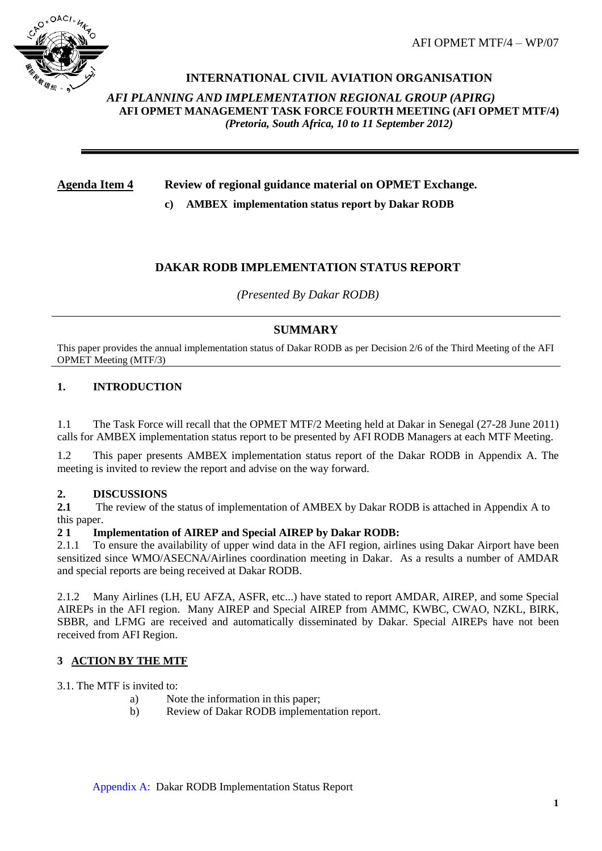AFI OPMET MTF/4 – WP/07



# **INTERNATIONAL CIVIL AVIATION ORGANISATION**

*AFI PLANNING AND IMPLEMENTATION REGIONAL GROUP (APIRG)* **AFI OPMET MANAGEMENT TASK FORCE FOURTH MEETING (AFI OPMET MTF/4)**  *(Pretoria, South Africa, 10 to 11 September 2012)*

# **Agenda Item 4 Review of regional guidance material on OPMET Exchange.**

**c) AMBEX implementation status report by Dakar RODB**

## **DAKAR RODB IMPLEMENTATION STATUS REPORT**

*(Presented By Dakar RODB)*

## **SUMMARY**

This paper provides the annual implementation status of Dakar RODB as per Decision 2/6 of the Third Meeting of the AFI OPMET Meeting (MTF/3)

#### **1. INTRODUCTION**

1.1 The Task Force will recall that the OPMET MTF/2 Meeting held at Dakar in Senegal (27-28 June 2011) calls for AMBEX implementation status report to be presented by AFI RODB Managers at each MTF Meeting.

1.2 This paper presents AMBEX implementation status report of the Dakar RODB in Appendix A. The meeting is invited to review the report and advise on the way forward.

#### **2. DISCUSSIONS**

**2.1** The review of the status of implementation of AMBEX by Dakar RODB is attached in Appendix A to this paper.

#### **2 1 Implementation of AIREP and Special AIREP by Dakar RODB:**

2.1.1 To ensure the availability of upper wind data in the AFI region, airlines using Dakar Airport have been sensitized since WMO/ASECNA/Airlines coordination meeting in Dakar. As a results a number of AMDAR and special reports are being received at Dakar RODB.

2.1.2 Many Airlines (LH, EU AFZA, ASFR, etc...) have stated to report AMDAR, AIREP, and some Special AIREPs in the AFI region. Many AIREP and Special AIREP from AMMC, KWBC, CWAO, NZKL, BIRK, SBBR, and LFMG are received and automatically disseminated by Dakar. Special AIREPs have not been received from AFI Region.

#### **3 ACTION BY THE MTF**

3.1. The MTF is invited to:

- a) Note the information in this paper;
- b) Review of Dakar RODB implementation report.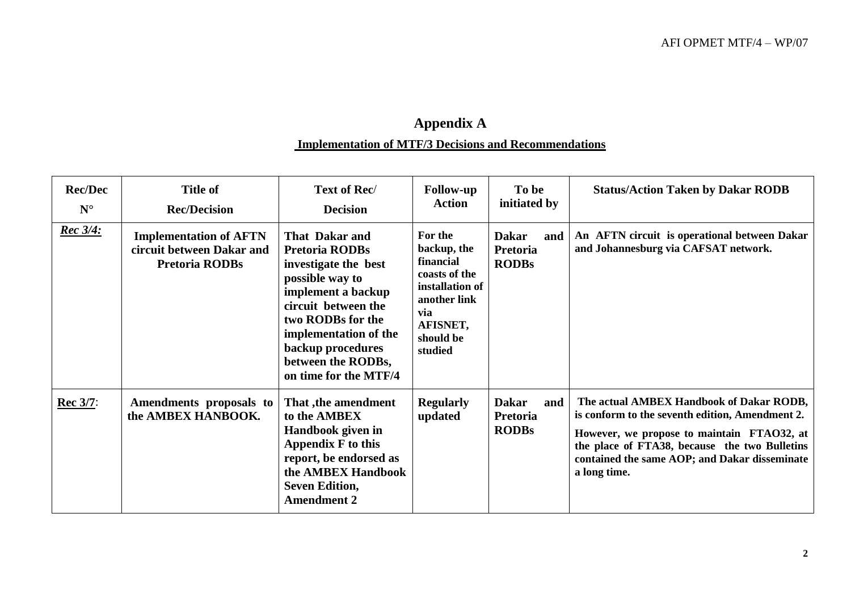# **Appendix A Implementation of MTF/3 Decisions and Recommendations**

| <b>Rec/Dec</b><br>$N^{\circ}$ | <b>Title of</b><br><b>Rec/Decision</b>                                              | Text of Rec/<br><b>Decision</b>                                                                                                                                                                                                                          | <b>Follow-up</b><br><b>Action</b>                                                                                                  | To be<br>initiated by                                  | <b>Status/Action Taken by Dakar RODB</b>                                                                                                                                                                                                                    |
|-------------------------------|-------------------------------------------------------------------------------------|----------------------------------------------------------------------------------------------------------------------------------------------------------------------------------------------------------------------------------------------------------|------------------------------------------------------------------------------------------------------------------------------------|--------------------------------------------------------|-------------------------------------------------------------------------------------------------------------------------------------------------------------------------------------------------------------------------------------------------------------|
| <u>Rec 3/4:</u>               | <b>Implementation of AFTN</b><br>circuit between Dakar and<br><b>Pretoria RODBs</b> | <b>That Dakar and</b><br><b>Pretoria RODBs</b><br>investigate the best<br>possible way to<br>implement a backup<br>circuit between the<br>two RODBs for the<br>implementation of the<br>backup procedures<br>between the RODBs,<br>on time for the MTF/4 | For the<br>backup, the<br>financial<br>coasts of the<br>installation of<br>another link<br>via<br>AFISNET,<br>should be<br>studied | <b>Dakar</b><br>and<br><b>Pretoria</b><br><b>RODBs</b> | An AFTN circuit is operational between Dakar<br>and Johannesburg via CAFSAT network.                                                                                                                                                                        |
| <b>Rec 3/7:</b>               | Amendments proposals to<br>the AMBEX HANBOOK.                                       | That , the amendment<br>to the AMBEX<br>Handbook given in<br><b>Appendix F to this</b><br>report, be endorsed as<br>the AMBEX Handbook<br><b>Seven Edition,</b><br><b>Amendment 2</b>                                                                    | <b>Regularly</b><br>updated                                                                                                        | <b>Dakar</b><br>and<br>Pretoria<br><b>RODBs</b>        | The actual AMBEX Handbook of Dakar RODB,<br>is conform to the seventh edition, Amendment 2.<br>However, we propose to maintain FTAO32, at<br>the place of FTA38, because the two Bulletins<br>contained the same AOP; and Dakar disseminate<br>a long time. |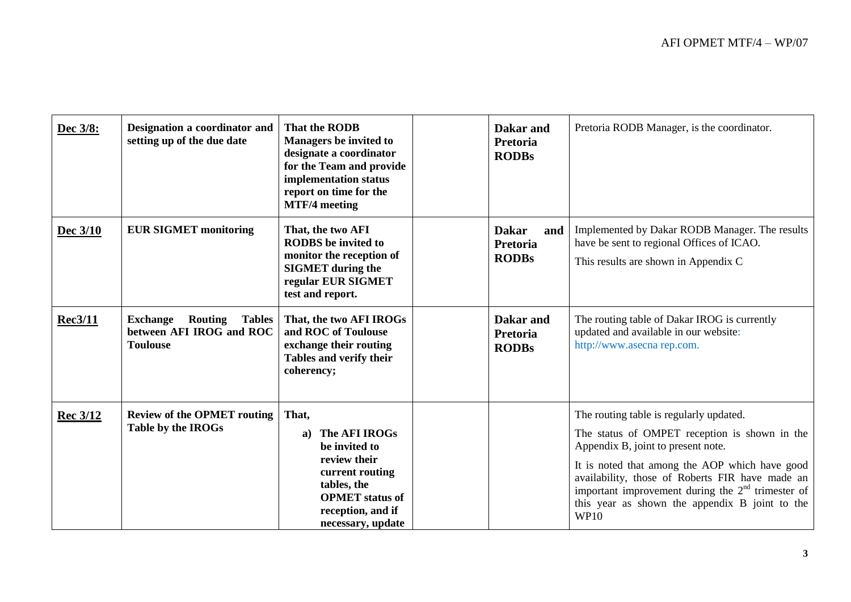| Dec 3/8:        | Designation a coordinator and<br>setting up of the due date                                | <b>That the RODB</b><br><b>Managers be invited to</b><br>designate a coordinator<br>for the Team and provide<br>implementation status<br>report on time for the<br><b>MTF/4</b> meeting | Dakar and<br>Pretoria<br><b>RODBs</b>           | Pretoria RODB Manager, is the coordinator.                                                                                                                                                                                                                                                                                                                  |
|-----------------|--------------------------------------------------------------------------------------------|-----------------------------------------------------------------------------------------------------------------------------------------------------------------------------------------|-------------------------------------------------|-------------------------------------------------------------------------------------------------------------------------------------------------------------------------------------------------------------------------------------------------------------------------------------------------------------------------------------------------------------|
| Dec $3/10$      | <b>EUR SIGMET monitoring</b>                                                               | That, the two AFI<br><b>RODBS</b> be invited to<br>monitor the reception of<br><b>SIGMET</b> during the<br>regular EUR SIGMET<br>test and report.                                       | <b>Dakar</b><br>and<br>Pretoria<br><b>RODBs</b> | Implemented by Dakar RODB Manager. The results<br>have be sent to regional Offices of ICAO.<br>This results are shown in Appendix C                                                                                                                                                                                                                         |
| <b>Rec3/11</b>  | <b>Tables</b><br><b>Exchange</b><br>Routing<br>between AFI IROG and ROC<br><b>Toulouse</b> | That, the two AFI IROGs<br>and ROC of Toulouse<br>exchange their routing<br>Tables and verify their<br>coherency;                                                                       | Dakar and<br>Pretoria<br><b>RODBs</b>           | The routing table of Dakar IROG is currently<br>updated and available in our website:<br>http://www.asecna rep.com.                                                                                                                                                                                                                                         |
| <b>Rec 3/12</b> | <b>Review of the OPMET routing</b><br>Table by the IROGs                                   | That,<br>The AFI IROGs<br>a)<br>be invited to<br>review their<br>current routing<br>tables, the<br><b>OPMET</b> status of<br>reception, and if<br>necessary, update                     |                                                 | The routing table is regularly updated.<br>The status of OMPET reception is shown in the<br>Appendix B, joint to present note.<br>It is noted that among the AOP which have good<br>availability, those of Roberts FIR have made an<br>important improvement during the $2nd$ trimester of<br>this year as shown the appendix B joint to the<br><b>WP10</b> |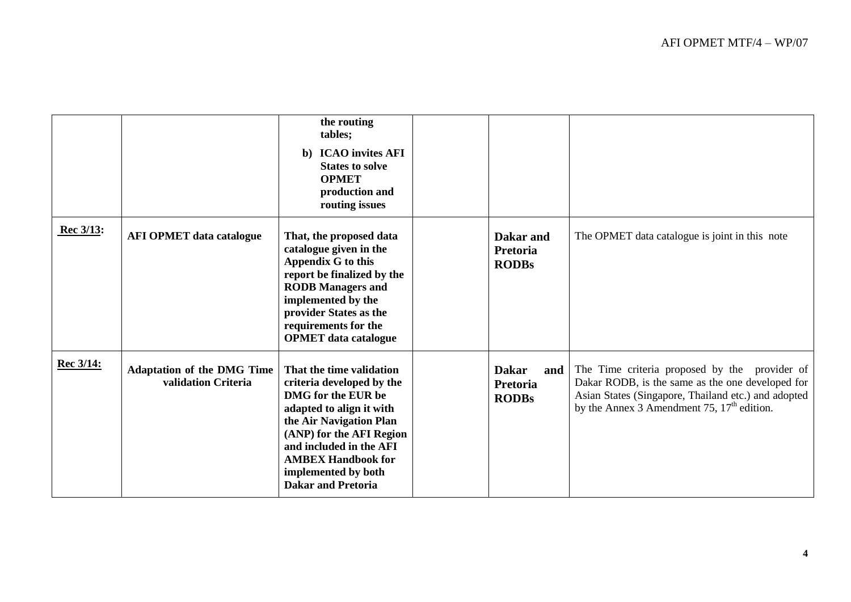|           |                                                          | the routing<br>tables;<br>b) ICAO invites AFI<br><b>States to solve</b><br><b>OPMET</b><br>production and<br>routing issues                                                                                                                                                |                                                 |                                                                                                                                                                                                          |
|-----------|----------------------------------------------------------|----------------------------------------------------------------------------------------------------------------------------------------------------------------------------------------------------------------------------------------------------------------------------|-------------------------------------------------|----------------------------------------------------------------------------------------------------------------------------------------------------------------------------------------------------------|
| Rec 3/13: | <b>AFI OPMET data catalogue</b>                          | That, the proposed data<br>catalogue given in the<br>Appendix G to this<br>report be finalized by the<br><b>RODB</b> Managers and<br>implemented by the<br>provider States as the<br>requirements for the<br><b>OPMET</b> data catalogue                                   | Dakar and<br>Pretoria<br><b>RODBs</b>           | The OPMET data catalogue is joint in this note                                                                                                                                                           |
| Rec 3/14: | <b>Adaptation of the DMG Time</b><br>validation Criteria | That the time validation<br>criteria developed by the<br>DMG for the EUR be<br>adapted to align it with<br>the Air Navigation Plan<br>(ANP) for the AFI Region<br>and included in the AFI<br><b>AMBEX Handbook for</b><br>implemented by both<br><b>Dakar and Pretoria</b> | <b>Dakar</b><br>and<br>Pretoria<br><b>RODBs</b> | The Time criteria proposed by the provider of<br>Dakar RODB, is the same as the one developed for<br>Asian States (Singapore, Thailand etc.) and adopted<br>by the Annex 3 Amendment 75, $17th$ edition. |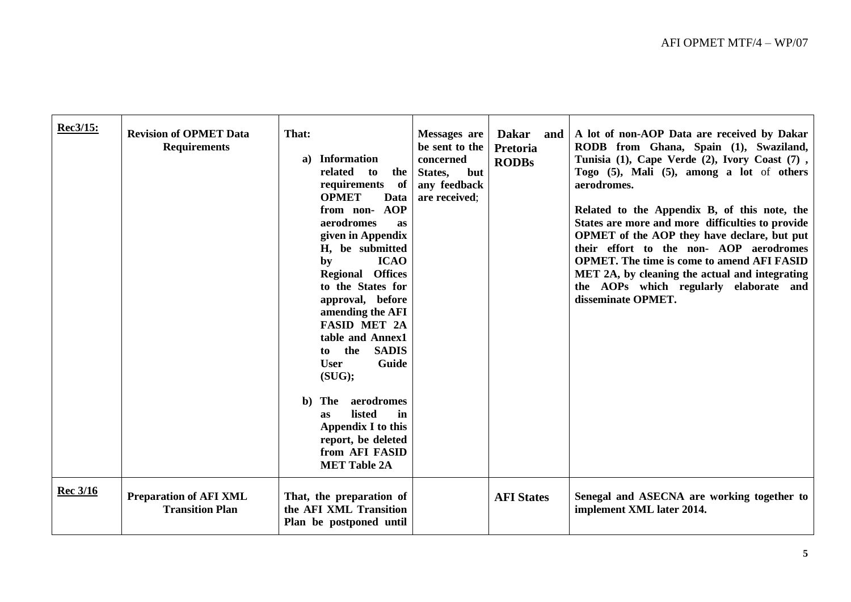| Rec3/15:        | <b>Revision of OPMET Data</b><br><b>Requirements</b>    | That:<br>a) Information<br>related<br>to<br>the<br>requirements<br>of<br><b>OPMET</b><br>Data<br><b>AOP</b><br>from non-<br>aerodromes<br><b>as</b><br>given in Appendix<br>H, be submitted<br><b>ICAO</b><br>by<br><b>Regional Offices</b><br>to the States for<br>approval, before<br>amending the AFI<br><b>FASID MET 2A</b><br>table and Annex1<br>the<br><b>SADIS</b><br>to<br><b>User</b><br>Guide<br>(SUG);<br>The aerodromes<br>$\mathbf{b}$<br>listed<br>in<br><b>as</b><br>Appendix I to this<br>report, be deleted<br>from AFI FASID<br><b>MET Table 2A</b> | Messages are<br>be sent to the<br>concerned<br>but<br>States,<br>any feedback<br>are received: | <b>Dakar</b><br>Pretoria<br><b>RODBs</b> | and   A lot of non-AOP Data are received by Dakar<br>RODB from Ghana, Spain (1), Swaziland,<br>Tunisia (1), Cape Verde (2), Ivory Coast (7),<br>Togo (5), Mali (5), among a lot of others<br>aerodromes.<br>Related to the Appendix B, of this note, the<br>States are more and more difficulties to provide<br>OPMET of the AOP they have declare, but put<br>their effort to the non- AOP aerodromes<br><b>OPMET.</b> The time is come to amend AFI FASID<br>MET 2A, by cleaning the actual and integrating<br>the AOPs which regularly elaborate and<br>disseminate OPMET. |
|-----------------|---------------------------------------------------------|------------------------------------------------------------------------------------------------------------------------------------------------------------------------------------------------------------------------------------------------------------------------------------------------------------------------------------------------------------------------------------------------------------------------------------------------------------------------------------------------------------------------------------------------------------------------|------------------------------------------------------------------------------------------------|------------------------------------------|-------------------------------------------------------------------------------------------------------------------------------------------------------------------------------------------------------------------------------------------------------------------------------------------------------------------------------------------------------------------------------------------------------------------------------------------------------------------------------------------------------------------------------------------------------------------------------|
| <b>Rec</b> 3/16 | <b>Preparation of AFI XML</b><br><b>Transition Plan</b> | That, the preparation of<br>the AFI XML Transition<br>Plan be postponed until                                                                                                                                                                                                                                                                                                                                                                                                                                                                                          |                                                                                                | <b>AFI States</b>                        | Senegal and ASECNA are working together to<br>implement XML later 2014.                                                                                                                                                                                                                                                                                                                                                                                                                                                                                                       |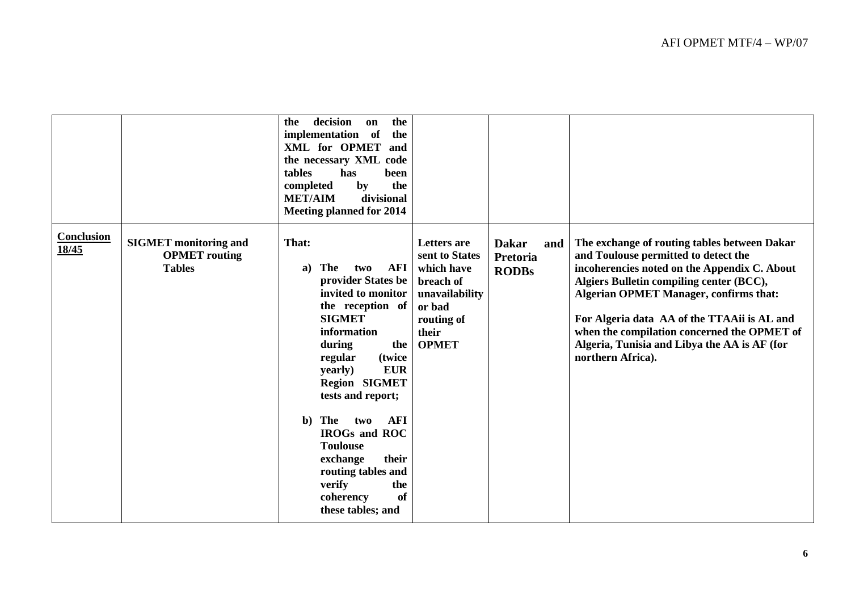|                            |                                                                       | decision<br>the<br>the<br>on<br>implementation of<br>the<br>XML for OPMET<br>and<br>the necessary XML code<br>tables<br>has<br>been<br>the<br>completed<br>by<br><b>MET/AIM</b><br>divisional<br><b>Meeting planned for 2014</b>                                                                                                                                                                                                          |                                                                                                                                    |                                                        |                                                                                                                                                                                                                                                                                                                                                                                                      |
|----------------------------|-----------------------------------------------------------------------|-------------------------------------------------------------------------------------------------------------------------------------------------------------------------------------------------------------------------------------------------------------------------------------------------------------------------------------------------------------------------------------------------------------------------------------------|------------------------------------------------------------------------------------------------------------------------------------|--------------------------------------------------------|------------------------------------------------------------------------------------------------------------------------------------------------------------------------------------------------------------------------------------------------------------------------------------------------------------------------------------------------------------------------------------------------------|
| <b>Conclusion</b><br>18/45 | <b>SIGMET</b> monitoring and<br><b>OPMET</b> routing<br><b>Tables</b> | That:<br>The<br><b>AFI</b><br>two<br>a)<br>provider States be<br>invited to monitor<br>the reception of<br><b>SIGMET</b><br>information<br>during<br>the<br>regular<br>(twice)<br><b>EUR</b><br>yearly)<br><b>Region SIGMET</b><br>tests and report;<br><b>AFI</b><br>b) The<br>two<br><b>IROGs and ROC</b><br><b>Toulouse</b><br>their<br>exchange<br>routing tables and<br>verify<br>the<br><b>of</b><br>coherency<br>these tables; and | <b>Letters</b> are<br>sent to States<br>which have<br>breach of<br>unavailability<br>or bad<br>routing of<br>their<br><b>OPMET</b> | <b>Dakar</b><br>and<br><b>Pretoria</b><br><b>RODBs</b> | The exchange of routing tables between Dakar<br>and Toulouse permitted to detect the<br>incoherencies noted on the Appendix C. About<br>Algiers Bulletin compiling center (BCC),<br><b>Algerian OPMET Manager, confirms that:</b><br>For Algeria data AA of the TTAAii is AL and<br>when the compilation concerned the OPMET of<br>Algeria, Tunisia and Libya the AA is AF (for<br>northern Africa). |